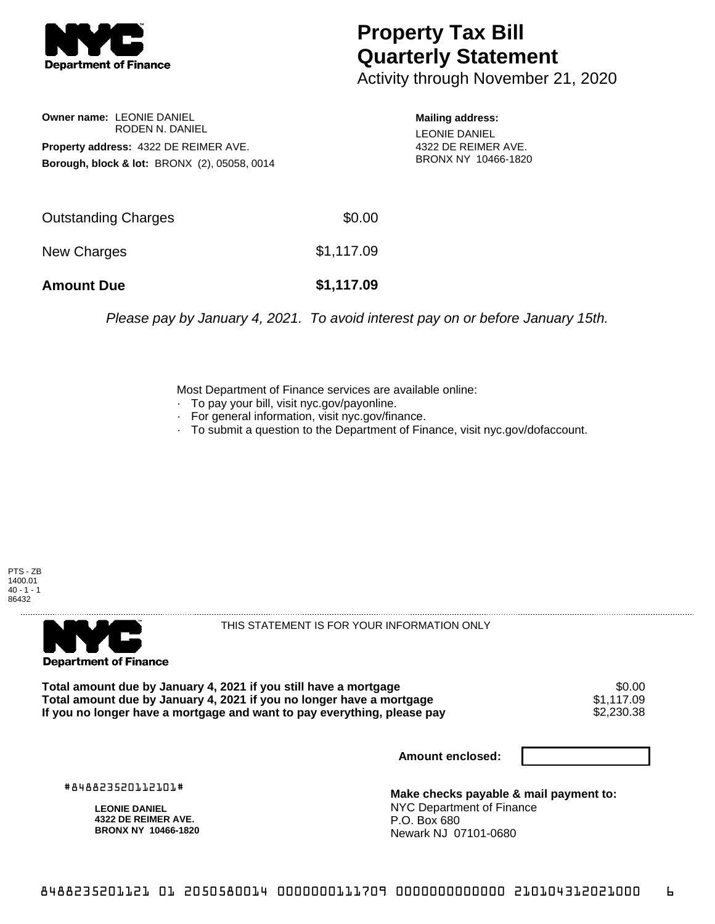

## **Property Tax Bill Quarterly Statement**

Activity through November 21, 2020

**Owner name:** LEONIE DANIEL RODEN N. DANIEL **Property address:** 4322 DE REIMER AVE. **Borough, block & lot:** BRONX (2), 05058, 0014 **Mailing address:**

LEONIE DANIEL 4322 DE REIMER AVE. BRONX NY 10466-1820

| <b>Amount Due</b>          | \$1,117.09 |
|----------------------------|------------|
| New Charges                | \$1,117.09 |
| <b>Outstanding Charges</b> | \$0.00     |

Please pay by January 4, 2021. To avoid interest pay on or before January 15th.

Most Department of Finance services are available online:

- · To pay your bill, visit nyc.gov/payonline.
- For general information, visit nyc.gov/finance.
- · To submit a question to the Department of Finance, visit nyc.gov/dofaccount.

PTS - ZB 1400.01  $40 - 1 - 1$ 86432



THIS STATEMENT IS FOR YOUR INFORMATION ONLY

Total amount due by January 4, 2021 if you still have a mortgage \$0.00<br>Total amount due by January 4, 2021 if you no longer have a mortgage \$1.117.09 **Total amount due by January 4, 2021 if you no longer have a mortgage**  $$1,117.09$ **<br>If you no longer have a mortgage and want to pay everything, please pay**  $$2,230.38$ If you no longer have a mortgage and want to pay everything, please pay

**Amount enclosed:**

#848823520112101#

**LEONIE DANIEL 4322 DE REIMER AVE. BRONX NY 10466-1820**

**Make checks payable & mail payment to:** NYC Department of Finance P.O. Box 680 Newark NJ 07101-0680